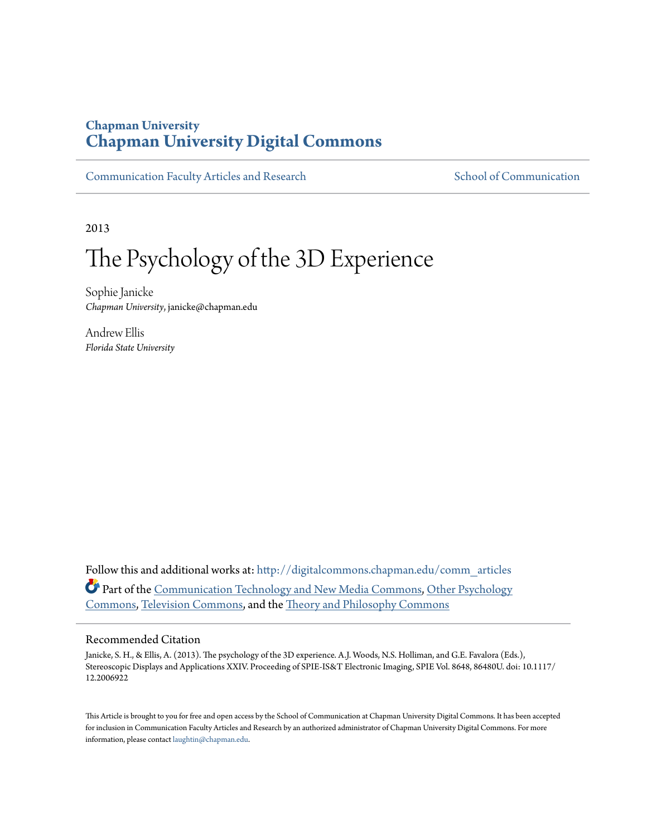## **Chapman University [Chapman University Digital Commons](http://digitalcommons.chapman.edu?utm_source=digitalcommons.chapman.edu%2Fcomm_articles%2F37&utm_medium=PDF&utm_campaign=PDFCoverPages)**

[Communication Faculty Articles and Research](http://digitalcommons.chapman.edu/comm_articles?utm_source=digitalcommons.chapman.edu%2Fcomm_articles%2F37&utm_medium=PDF&utm_campaign=PDFCoverPages) [School of Communication](http://digitalcommons.chapman.edu/communication?utm_source=digitalcommons.chapman.edu%2Fcomm_articles%2F37&utm_medium=PDF&utm_campaign=PDFCoverPages)

2013

# The Psychology of the 3D Experience

Sophie Janicke *Chapman University*, janicke@chapman.edu

Andrew Ellis *Florida State University*

Follow this and additional works at: [http://digitalcommons.chapman.edu/comm\\_articles](http://digitalcommons.chapman.edu/comm_articles?utm_source=digitalcommons.chapman.edu%2Fcomm_articles%2F37&utm_medium=PDF&utm_campaign=PDFCoverPages) Part of the [Communication Technology and New Media Commons](http://network.bepress.com/hgg/discipline/327?utm_source=digitalcommons.chapman.edu%2Fcomm_articles%2F37&utm_medium=PDF&utm_campaign=PDFCoverPages), [Other Psychology](http://network.bepress.com/hgg/discipline/415?utm_source=digitalcommons.chapman.edu%2Fcomm_articles%2F37&utm_medium=PDF&utm_campaign=PDFCoverPages) [Commons,](http://network.bepress.com/hgg/discipline/415?utm_source=digitalcommons.chapman.edu%2Fcomm_articles%2F37&utm_medium=PDF&utm_campaign=PDFCoverPages) [Television Commons,](http://network.bepress.com/hgg/discipline/1143?utm_source=digitalcommons.chapman.edu%2Fcomm_articles%2F37&utm_medium=PDF&utm_campaign=PDFCoverPages) and the [Theory and Philosophy Commons](http://network.bepress.com/hgg/discipline/1238?utm_source=digitalcommons.chapman.edu%2Fcomm_articles%2F37&utm_medium=PDF&utm_campaign=PDFCoverPages)

#### Recommended Citation

Janicke, S. H., & Ellis, A. (2013). The psychology of the 3D experience. A.J. Woods, N.S. Holliman, and G.E. Favalora (Eds.), Stereoscopic Displays and Applications XXIV. Proceeding of SPIE-IS&T Electronic Imaging, SPIE Vol. 8648, 86480U. doi: 10.1117/ 12.2006922

This Article is brought to you for free and open access by the School of Communication at Chapman University Digital Commons. It has been accepted for inclusion in Communication Faculty Articles and Research by an authorized administrator of Chapman University Digital Commons. For more information, please contact [laughtin@chapman.edu](mailto:laughtin@chapman.edu).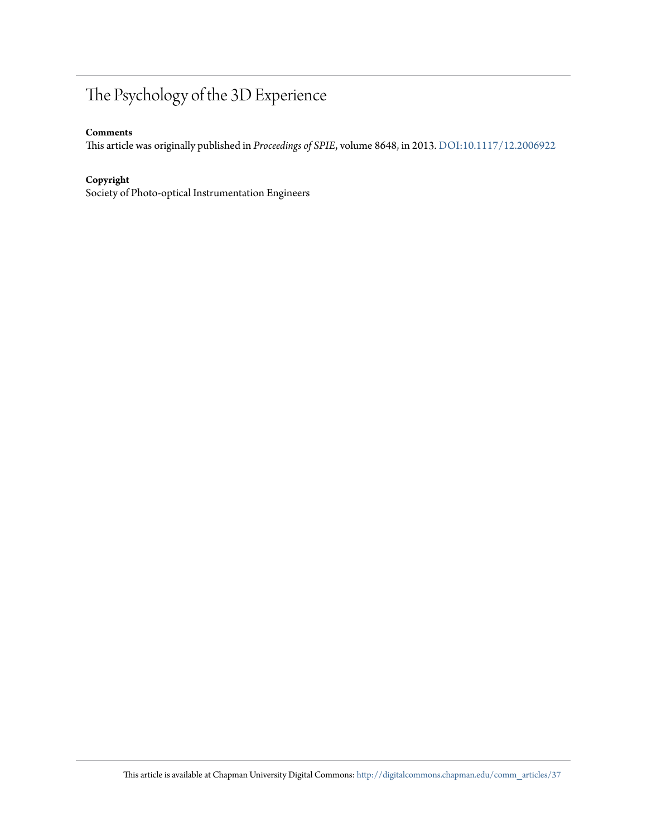## The Psychology of the 3D Experience

#### **Comments**

This article was originally published in *Proceedings of SPIE*, volume 8648, in 2013. [DOI:10.1117/12.2006922](http://dx.doi.org/10.1117/12.2006922)

#### **Copyright**

Society of Photo-optical Instrumentation Engineers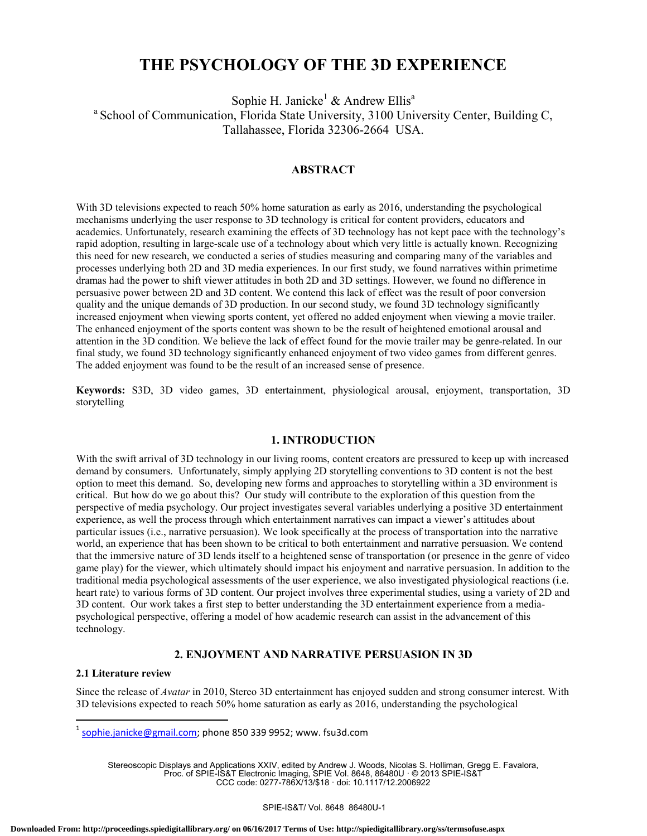## **THE PSYCHOLOGY OF THE 3D EXPERIENCE**

Sophie H. Janicke<sup>1</sup> & Andrew Ellis<sup>a</sup> <sup>a</sup> School of Communication, Florida State University, 3100 University Center, Building C, Tallahassee, Florida 32306-2664 USA.

#### **ABSTRACT**

With 3D televisions expected to reach 50% home saturation as early as 2016, understanding the psychological mechanisms underlying the user response to 3D technology is critical for content providers, educators and academics. Unfortunately, research examining the effects of 3D technology has not kept pace with the technology's rapid adoption, resulting in large-scale use of a technology about which very little is actually known. Recognizing this need for new research, we conducted a series of studies measuring and comparing many of the variables and processes underlying both 2D and 3D media experiences. In our first study, we found narratives within primetime dramas had the power to shift viewer attitudes in both 2D and 3D settings. However, we found no difference in persuasive power between 2D and 3D content. We contend this lack of effect was the result of poor conversion quality and the unique demands of 3D production. In our second study, we found 3D technology significantly increased enjoyment when viewing sports content, yet offered no added enjoyment when viewing a movie trailer. The enhanced enjoyment of the sports content was shown to be the result of heightened emotional arousal and attention in the 3D condition. We believe the lack of effect found for the movie trailer may be genre-related. In our final study, we found 3D technology significantly enhanced enjoyment of two video games from different genres. The added enjoyment was found to be the result of an increased sense of presence.

**Keywords:** S3D, 3D video games, 3D entertainment, physiological arousal, enjoyment, transportation, 3D storytelling

#### **1. INTRODUCTION**

With the swift arrival of 3D technology in our living rooms, content creators are pressured to keep up with increased demand by consumers. Unfortunately, simply applying 2D storytelling conventions to 3D content is not the best option to meet this demand. So, developing new forms and approaches to storytelling within a 3D environment is critical. But how do we go about this? Our study will contribute to the exploration of this question from the perspective of media psychology. Our project investigates several variables underlying a positive 3D entertainment experience, as well the process through which entertainment narratives can impact a viewer's attitudes about particular issues (i.e., narrative persuasion). We look specifically at the process of transportation into the narrative world, an experience that has been shown to be critical to both entertainment and narrative persuasion. We contend that the immersive nature of 3D lends itself to a heightened sense of transportation (or presence in the genre of video game play) for the viewer, which ultimately should impact his enjoyment and narrative persuasion. In addition to the traditional media psychological assessments of the user experience, we also investigated physiological reactions (i.e. heart rate) to various forms of 3D content. Our project involves three experimental studies, using a variety of 2D and 3D content. Our work takes a first step to better understanding the 3D entertainment experience from a mediapsychological perspective, offering a model of how academic research can assist in the advancement of this technology.

#### **2. ENJOYMENT AND NARRATIVE PERSUASION IN 3D**

#### **2.1 Literature review**

 $\overline{a}$ 

Since the release of *Avatar* in 2010, Stereo 3D entertainment has enjoyed sudden and strong consumer interest. With 3D televisions expected to reach 50% home saturation as early as 2016, understanding the psychological

Stereoscopic Displays and Applications XXIV, edited by Andrew J. Woods, Nicolas S. Holliman, Gregg E. Favalora, Proc. of SPIE-IS&T Electronic Imaging, SPIE Vol. 8648, 86480U · © 2013 SPIE-IS&T CCC code: 0277-786X/13/\$18 · doi: 10.1117/12.2006922

sophie.janicke@gmail.com; phone 850 339 9952; www. fsu3d.com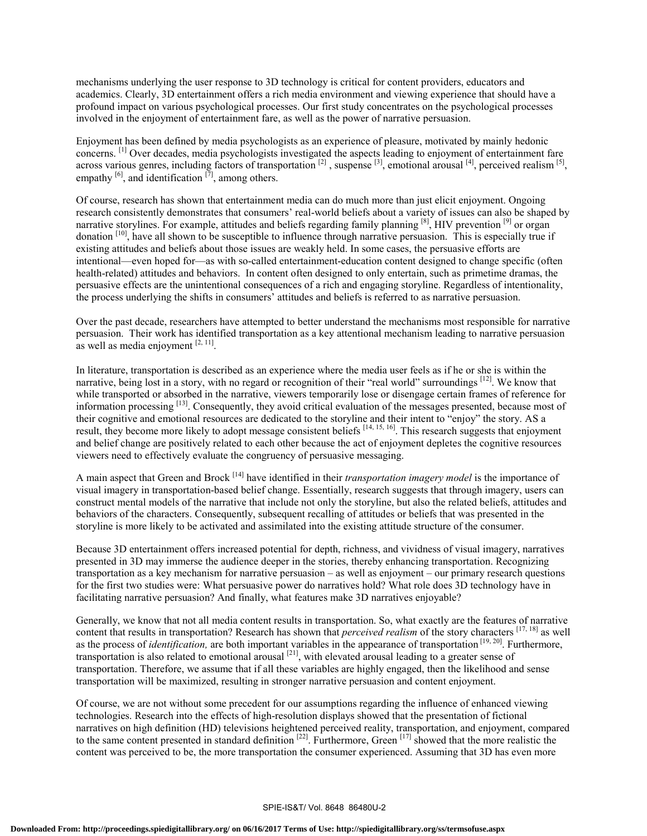mechanisms underlying the user response to 3D technology is critical for content providers, educators and academics. Clearly, 3D entertainment offers a rich media environment and viewing experience that should have a profound impact on various psychological processes. Our first study concentrates on the psychological processes involved in the enjoyment of entertainment fare, as well as the power of narrative persuasion.

Enjoyment has been defined by media psychologists as an experience of pleasure, motivated by mainly hedonic concerns. <sup>[1]</sup> Over decades, media psychologists investigated the aspects leading to enjoyment of entertainment fare across various genres, including factors of transportation  $^{[2]}$ , suspense  $^{[3]}$ , emotional arousal  $^{[4]}$ , perceived realism  $^{[5]}$ . empathy  $\left[6\right]$ , and identification  $\left[7\right]$ , among others.

Of course, research has shown that entertainment media can do much more than just elicit enjoyment. Ongoing research consistently demonstrates that consumers' real-world beliefs about a variety of issues can also be shaped by narrative storylines. For example, attitudes and beliefs regarding family planning [8], HIV prevention [9] or organ donation [10], have all shown to be susceptible to influence through narrative persuasion. This is especially true if existing attitudes and beliefs about those issues are weakly held. In some cases, the persuasive efforts are intentional—even hoped for—as with so-called entertainment-education content designed to change specific (often health-related) attitudes and behaviors. In content often designed to only entertain, such as primetime dramas, the persuasive effects are the unintentional consequences of a rich and engaging storyline. Regardless of intentionality, the process underlying the shifts in consumers' attitudes and beliefs is referred to as narrative persuasion.

Over the past decade, researchers have attempted to better understand the mechanisms most responsible for narrative persuasion. Their work has identified transportation as a key attentional mechanism leading to narrative persuasion as well as media enjoyment  $[2, 11]$ .

In literature, transportation is described as an experience where the media user feels as if he or she is within the narrative, being lost in a story, with no regard or recognition of their "real world" surroundings [12]. We know that while transported or absorbed in the narrative, viewers temporarily lose or disengage certain frames of reference for information processing [13]. Consequently, they avoid critical evaluation of the messages presented, because most of their cognitive and emotional resources are dedicated to the storyline and their intent to "enjoy" the story. AS a result, they become more likely to adopt message consistent beliefs [14, 15, 16]. This research suggests that enjoyment and belief change are positively related to each other because the act of enjoyment depletes the cognitive resources viewers need to effectively evaluate the congruency of persuasive messaging.

A main aspect that Green and Brock [14] have identified in their *transportation imagery model* is the importance of visual imagery in transportation-based belief change. Essentially, research suggests that through imagery, users can construct mental models of the narrative that include not only the storyline, but also the related beliefs, attitudes and behaviors of the characters. Consequently, subsequent recalling of attitudes or beliefs that was presented in the storyline is more likely to be activated and assimilated into the existing attitude structure of the consumer.

Because 3D entertainment offers increased potential for depth, richness, and vividness of visual imagery, narratives presented in 3D may immerse the audience deeper in the stories, thereby enhancing transportation. Recognizing transportation as a key mechanism for narrative persuasion – as well as enjoyment – our primary research questions for the first two studies were: What persuasive power do narratives hold? What role does 3D technology have in facilitating narrative persuasion? And finally, what features make 3D narratives enjoyable?

Generally, we know that not all media content results in transportation. So, what exactly are the features of narrative content that results in transportation? Research has shown that *perceived realism* of the story characters [17, 18] as well as the process of *identification*, are both important variables in the appearance of transportation<sup>[19, 20]</sup>. Furthermore, transportation is also related to emotional arousal [21], with elevated arousal leading to a greater sense of transportation. Therefore, we assume that if all these variables are highly engaged, then the likelihood and sense transportation will be maximized, resulting in stronger narrative persuasion and content enjoyment.

Of course, we are not without some precedent for our assumptions regarding the influence of enhanced viewing technologies. Research into the effects of high-resolution displays showed that the presentation of fictional narratives on high definition (HD) televisions heightened perceived reality, transportation, and enjoyment, compared to the same content presented in standard definition <sup>[22]</sup>. Furthermore, Green <sup>[17]</sup> showed that the more realistic the content was perceived to be, the more transportation the consumer experienced. Assuming that 3D has even more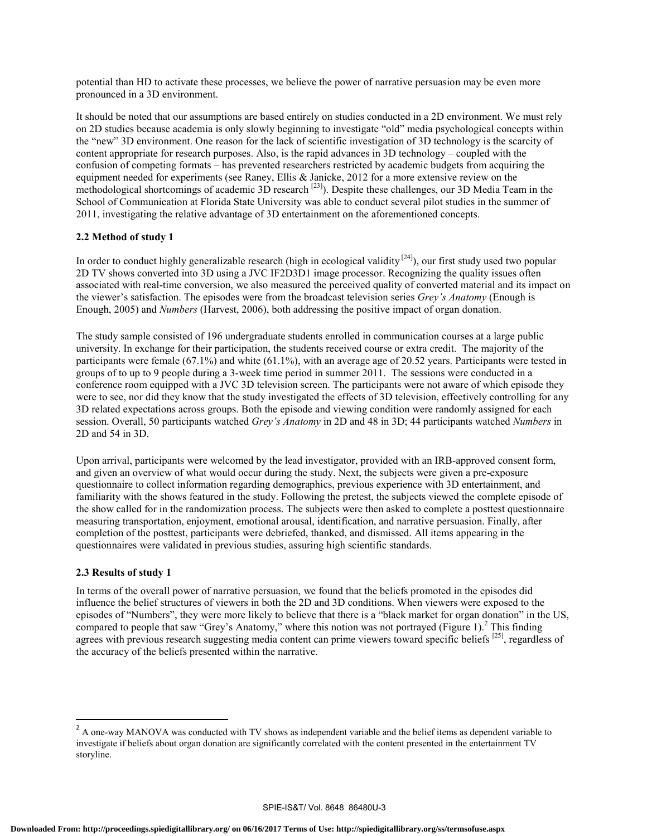potential than HD to activate these processes, we believe the power of narrative persuasion may be even more pronounced in a 3D environment.

It should be noted that our assumptions are based entirely on studies conducted in a 2D environment. We must rely on 2D studies because academia is only slowly beginning to investigate "old" media psychological concepts within the "new" 3D environment. One reason for the lack of scientific investigation of 3D technology is the scarcity of content appropriate for research purposes. Also, is the rapid advances in 3D technology – coupled with the confusion of competing formats – has prevented researchers restricted by academic budgets from acquiring the equipment needed for experiments (see Raney, Ellis & Janicke, 2012 for a more extensive review on the methodological shortcomings of academic 3D research [23]). Despite these challenges, our 3D Media Team in the School of Communication at Florida State University was able to conduct several pilot studies in the summer of 2011, investigating the relative advantage of 3D entertainment on the aforementioned concepts.

#### **2.2 Method of study 1**

In order to conduct highly generalizable research (high in ecological validity  $[24]$ ), our first study used two popular 2D TV shows converted into 3D using a JVC IF2D3D1 image processor. Recognizing the quality issues often associated with real-time conversion, we also measured the perceived quality of converted material and its impact on the viewer's satisfaction. The episodes were from the broadcast television series *Grey's Anatomy* (Enough is Enough, 2005) and *Numbers* (Harvest, 2006), both addressing the positive impact of organ donation.

The study sample consisted of 196 undergraduate students enrolled in communication courses at a large public university. In exchange for their participation, the students received course or extra credit. The majority of the participants were female (67.1%) and white (61.1%), with an average age of 20.52 years. Participants were tested in groups of to up to 9 people during a 3-week time period in summer 2011. The sessions were conducted in a conference room equipped with a JVC 3D television screen. The participants were not aware of which episode they were to see, nor did they know that the study investigated the effects of 3D television, effectively controlling for any 3D related expectations across groups. Both the episode and viewing condition were randomly assigned for each session. Overall, 50 participants watched *Grey's Anatomy* in 2D and 48 in 3D; 44 participants watched *Numbers* in 2D and 54 in 3D.

Upon arrival, participants were welcomed by the lead investigator, provided with an IRB-approved consent form, and given an overview of what would occur during the study. Next, the subjects were given a pre-exposure questionnaire to collect information regarding demographics, previous experience with 3D entertainment, and familiarity with the shows featured in the study. Following the pretest, the subjects viewed the complete episode of the show called for in the randomization process. The subjects were then asked to complete a posttest questionnaire measuring transportation, enjoyment, emotional arousal, identification, and narrative persuasion. Finally, after completion of the posttest, participants were debriefed, thanked, and dismissed. All items appearing in the questionnaires were validated in previous studies, assuring high scientific standards.

#### **2.3 Results of study 1**

l

In terms of the overall power of narrative persuasion, we found that the beliefs promoted in the episodes did influence the belief structures of viewers in both the 2D and 3D conditions. When viewers were exposed to the episodes of "Numbers", they were more likely to believe that there is a "black market for organ donation" in the US, compared to people that saw "Grey's Anatomy," where this notion was not portrayed (Figure 1).<sup>2</sup> This finding agrees with previous research suggesting media content can prime viewers toward specific beliefs [25], regardless of the accuracy of the beliefs presented within the narrative.

<sup>&</sup>lt;sup>2</sup> A one-way MANOVA was conducted with TV shows as independent variable and the belief items as dependent variable to investigate if beliefs about organ donation are significantly correlated with the content presented in the entertainment TV storyline.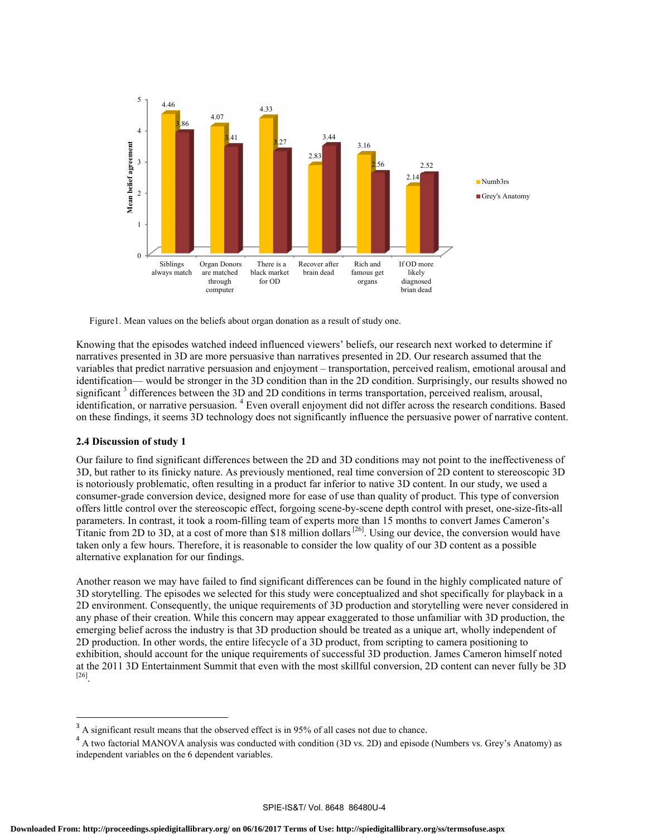

Figure1. Mean values on the beliefs about organ donation as a result of study one.

Knowing that the episodes watched indeed influenced viewers' beliefs, our research next worked to determine if narratives presented in 3D are more persuasive than narratives presented in 2D. Our research assumed that the variables that predict narrative persuasion and enjoyment – transportation, perceived realism, emotional arousal and identification— would be stronger in the 3D condition than in the 2D condition. Surprisingly, our results showed no significant<sup>3</sup> differences between the 3D and 2D conditions in terms transportation, perceived realism, arousal, identification, or narrative persuasion.<sup>4</sup> Even overall enjoyment did not differ across the research conditions. Based on these findings, it seems 3D technology does not significantly influence the persuasive power of narrative content.

#### **2.4 Discussion of study 1**

 $\overline{\phantom{a}}$ 

Our failure to find significant differences between the 2D and 3D conditions may not point to the ineffectiveness of 3D, but rather to its finicky nature. As previously mentioned, real time conversion of 2D content to stereoscopic 3D is notoriously problematic, often resulting in a product far inferior to native 3D content. In our study, we used a consumer-grade conversion device, designed more for ease of use than quality of product. This type of conversion offers little control over the stereoscopic effect, forgoing scene-by-scene depth control with preset, one-size-fits-all parameters. In contrast, it took a room-filling team of experts more than 15 months to convert James Cameron's Titanic from 2D to 3D, at a cost of more than \$18 million dollars  $[26]$ . Using our device, the conversion would have taken only a few hours. Therefore, it is reasonable to consider the low quality of our 3D content as a possible alternative explanation for our findings.

Another reason we may have failed to find significant differences can be found in the highly complicated nature of 3D storytelling. The episodes we selected for this study were conceptualized and shot specifically for playback in a 2D environment. Consequently, the unique requirements of 3D production and storytelling were never considered in any phase of their creation. While this concern may appear exaggerated to those unfamiliar with 3D production, the emerging belief across the industry is that 3D production should be treated as a unique art, wholly independent of 2D production. In other words, the entire lifecycle of a 3D product, from scripting to camera positioning to exhibition, should account for the unique requirements of successful 3D production. James Cameron himself noted at the 2011 3D Entertainment Summit that even with the most skillful conversion, 2D content can never fully be 3D [26].

<sup>&</sup>lt;sup>3</sup> A significant result means that the observed effect is in 95% of all cases not due to chance.

<sup>&</sup>lt;sup>4</sup> A two factorial MANOVA analysis was conducted with condition (3D vs. 2D) and episode (Numbers vs. Grey's Anatomy) as independent variables on the 6 dependent variables.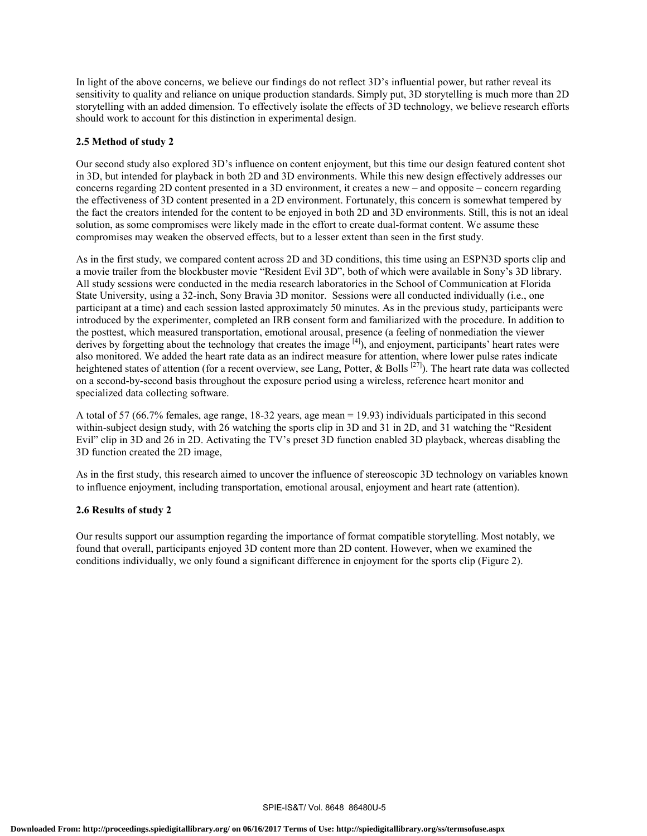In light of the above concerns, we believe our findings do not reflect 3D's influential power, but rather reveal its sensitivity to quality and reliance on unique production standards. Simply put, 3D storytelling is much more than 2D storytelling with an added dimension. To effectively isolate the effects of 3D technology, we believe research efforts should work to account for this distinction in experimental design.

#### **2.5 Method of study 2**

Our second study also explored 3D's influence on content enjoyment, but this time our design featured content shot in 3D, but intended for playback in both 2D and 3D environments. While this new design effectively addresses our concerns regarding 2D content presented in a 3D environment, it creates a new – and opposite – concern regarding the effectiveness of 3D content presented in a 2D environment. Fortunately, this concern is somewhat tempered by the fact the creators intended for the content to be enjoyed in both 2D and 3D environments. Still, this is not an ideal solution, as some compromises were likely made in the effort to create dual-format content. We assume these compromises may weaken the observed effects, but to a lesser extent than seen in the first study.

As in the first study, we compared content across 2D and 3D conditions, this time using an ESPN3D sports clip and a movie trailer from the blockbuster movie "Resident Evil 3D", both of which were available in Sony's 3D library. All study sessions were conducted in the media research laboratories in the School of Communication at Florida State University, using a 32-inch, Sony Bravia 3D monitor. Sessions were all conducted individually (i.e., one participant at a time) and each session lasted approximately 50 minutes. As in the previous study, participants were introduced by the experimenter, completed an IRB consent form and familiarized with the procedure. In addition to the posttest, which measured transportation, emotional arousal, presence (a feeling of nonmediation the viewer derives by forgetting about the technology that creates the image  $[4]$ ), and enjoyment, participants' heart rates were also monitored. We added the heart rate data as an indirect measure for attention, where lower pulse rates indicate heightened states of attention (for a recent overview, see Lang, Potter, & Bolls  $[27]$ ). The heart rate data was collected on a second-by-second basis throughout the exposure period using a wireless, reference heart monitor and specialized data collecting software.

A total of 57 (66.7% females, age range, 18-32 years, age mean = 19.93) individuals participated in this second within-subject design study, with 26 watching the sports clip in 3D and 31 in 2D, and 31 watching the "Resident Evil" clip in 3D and 26 in 2D. Activating the TV's preset 3D function enabled 3D playback, whereas disabling the 3D function created the 2D image,

As in the first study, this research aimed to uncover the influence of stereoscopic 3D technology on variables known to influence enjoyment, including transportation, emotional arousal, enjoyment and heart rate (attention).

#### **2.6 Results of study 2**

Our results support our assumption regarding the importance of format compatible storytelling. Most notably, we found that overall, participants enjoyed 3D content more than 2D content. However, when we examined the conditions individually, we only found a significant difference in enjoyment for the sports clip (Figure 2).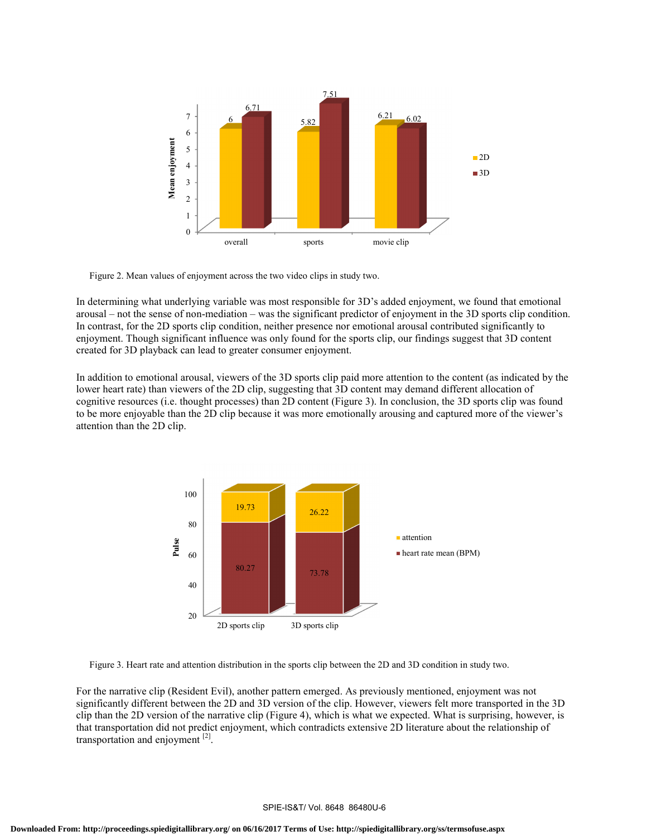

Figure 2. Mean values of enjoyment across the two video clips in study two.

In determining what underlying variable was most responsible for 3D's added enjoyment, we found that emotional arousal – not the sense of non-mediation – was the significant predictor of enjoyment in the 3D sports clip condition. In contrast, for the 2D sports clip condition, neither presence nor emotional arousal contributed significantly to enjoyment. Though significant influence was only found for the sports clip, our findings suggest that 3D content created for 3D playback can lead to greater consumer enjoyment.

In addition to emotional arousal, viewers of the 3D sports clip paid more attention to the content (as indicated by the lower heart rate) than viewers of the 2D clip, suggesting that 3D content may demand different allocation of cognitive resources (i.e. thought processes) than 2D content (Figure 3). In conclusion, the 3D sports clip was found to be more enjoyable than the 2D clip because it was more emotionally arousing and captured more of the viewer's attention than the 2D clip.



Figure 3. Heart rate and attention distribution in the sports clip between the 2D and 3D condition in study two.

For the narrative clip (Resident Evil), another pattern emerged. As previously mentioned, enjoyment was not significantly different between the 2D and 3D version of the clip. However, viewers felt more transported in the 3D clip than the 2D version of the narrative clip (Figure 4), which is what we expected. What is surprising, however, is that transportation did not predict enjoyment, which contradicts extensive 2D literature about the relationship of transportation and enjoyment  $^{[2]}$ .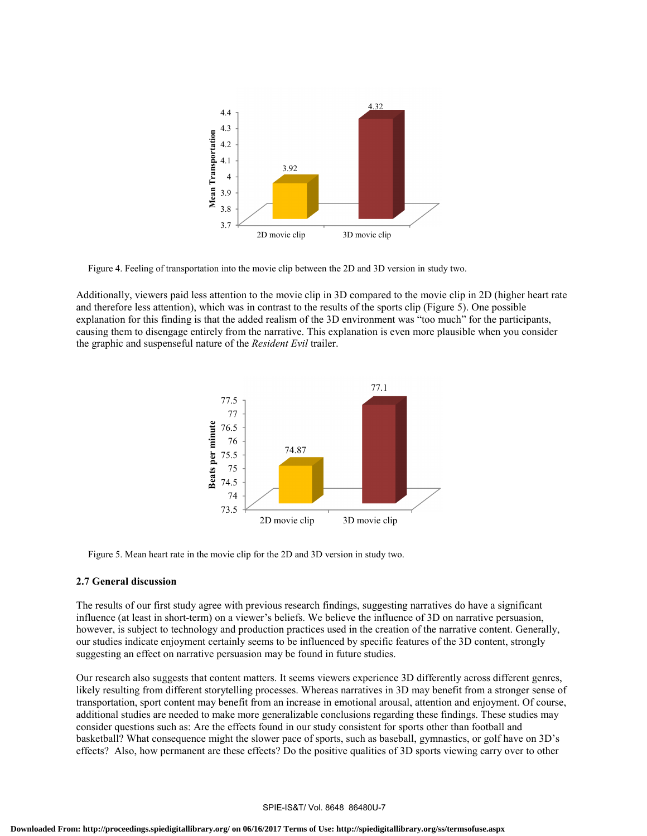

Figure 4. Feeling of transportation into the movie clip between the 2D and 3D version in study two.

Additionally, viewers paid less attention to the movie clip in 3D compared to the movie clip in 2D (higher heart rate and therefore less attention), which was in contrast to the results of the sports clip (Figure 5). One possible explanation for this finding is that the added realism of the 3D environment was "too much" for the participants, causing them to disengage entirely from the narrative. This explanation is even more plausible when you consider the graphic and suspenseful nature of the *Resident Evil* trailer.



Figure 5. Mean heart rate in the movie clip for the 2D and 3D version in study two.

#### **2.7 General discussion**

The results of our first study agree with previous research findings, suggesting narratives do have a significant influence (at least in short-term) on a viewer's beliefs. We believe the influence of 3D on narrative persuasion, however, is subject to technology and production practices used in the creation of the narrative content. Generally, our studies indicate enjoyment certainly seems to be influenced by specific features of the 3D content, strongly suggesting an effect on narrative persuasion may be found in future studies.

Our research also suggests that content matters. It seems viewers experience 3D differently across different genres, likely resulting from different storytelling processes. Whereas narratives in 3D may benefit from a stronger sense of transportation, sport content may benefit from an increase in emotional arousal, attention and enjoyment. Of course, additional studies are needed to make more generalizable conclusions regarding these findings. These studies may consider questions such as: Are the effects found in our study consistent for sports other than football and basketball? What consequence might the slower pace of sports, such as baseball, gymnastics, or golf have on 3D's effects? Also, how permanent are these effects? Do the positive qualities of 3D sports viewing carry over to other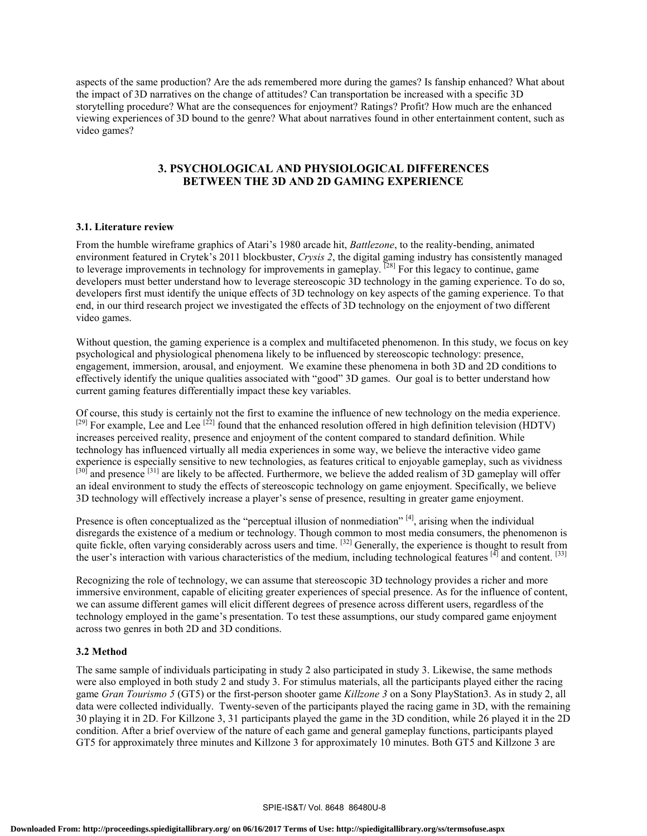aspects of the same production? Are the ads remembered more during the games? Is fanship enhanced? What about the impact of 3D narratives on the change of attitudes? Can transportation be increased with a specific 3D storytelling procedure? What are the consequences for enjoyment? Ratings? Profit? How much are the enhanced viewing experiences of 3D bound to the genre? What about narratives found in other entertainment content, such as video games?

#### **3. PSYCHOLOGICAL AND PHYSIOLOGICAL DIFFERENCES BETWEEN THE 3D AND 2D GAMING EXPERIENCE**

#### **3.1. Literature review**

From the humble wireframe graphics of Atari's 1980 arcade hit, *Battlezone*, to the reality-bending, animated environment featured in Crytek's 2011 blockbuster, *Crysis 2*, the digital gaming industry has consistently managed to leverage improvements in technology for improvements in gameplay. <sup>[28]</sup> For this legacy to continue, game developers must better understand how to leverage stereoscopic 3D technology in the gaming experience. To do so, developers first must identify the unique effects of 3D technology on key aspects of the gaming experience. To that end, in our third research project we investigated the effects of 3D technology on the enjoyment of two different video games.

Without question, the gaming experience is a complex and multifaceted phenomenon. In this study, we focus on key psychological and physiological phenomena likely to be influenced by stereoscopic technology: presence, engagement, immersion, arousal, and enjoyment. We examine these phenomena in both 3D and 2D conditions to effectively identify the unique qualities associated with "good" 3D games. Our goal is to better understand how current gaming features differentially impact these key variables.

Of course, this study is certainly not the first to examine the influence of new technology on the media experience.  $[29]$  For example, Lee and Lee  $[22]$  found that the enhanced resolution offered in high definition television (HDTV) increases perceived reality, presence and enjoyment of the content compared to standard definition. While technology has influenced virtually all media experiences in some way, we believe the interactive video game experience is especially sensitive to new technologies, as features critical to enjoyable gameplay, such as vividness  $[30]$  and presence  $[31]$  are likely to be affected. Furthermore, we believe the added realism of 3D gameplay will offer an ideal environment to study the effects of stereoscopic technology on game enjoyment. Specifically, we believe 3D technology will effectively increase a player's sense of presence, resulting in greater game enjoyment.

Presence is often conceptualized as the "perceptual illusion of nonmediation" [4], arising when the individual disregards the existence of a medium or technology. Though common to most media consumers, the phenomenon is quite fickle, often varying considerably across users and time. <sup>[32]</sup> Generally, the experience is thought to result from the user's interaction with various characteristics of the medium, including technological features  $^{[4]}$  and content.  $^{[33]}$ 

Recognizing the role of technology, we can assume that stereoscopic 3D technology provides a richer and more immersive environment, capable of eliciting greater experiences of special presence. As for the influence of content, we can assume different games will elicit different degrees of presence across different users, regardless of the technology employed in the game's presentation. To test these assumptions, our study compared game enjoyment across two genres in both 2D and 3D conditions.

#### **3.2 Method**

The same sample of individuals participating in study 2 also participated in study 3. Likewise, the same methods were also employed in both study 2 and study 3. For stimulus materials, all the participants played either the racing game *Gran Tourismo 5* (GT5) or the first-person shooter game *Killzone 3* on a Sony PlayStation3. As in study 2, all data were collected individually. Twenty-seven of the participants played the racing game in 3D, with the remaining 30 playing it in 2D. For Killzone 3, 31 participants played the game in the 3D condition, while 26 played it in the 2D condition. After a brief overview of the nature of each game and general gameplay functions, participants played GT5 for approximately three minutes and Killzone 3 for approximately 10 minutes. Both GT5 and Killzone 3 are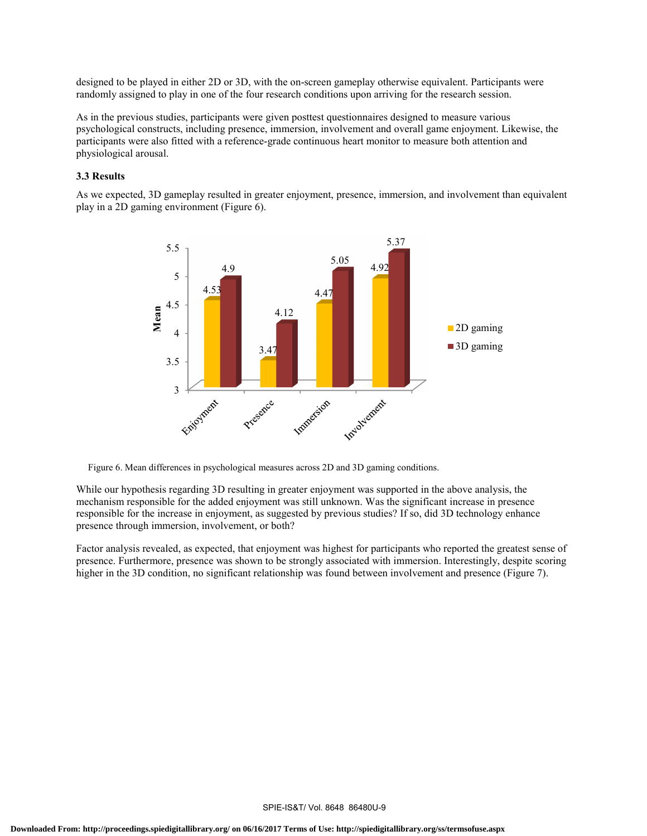designed to be played in either 2D or 3D, with the on-screen gameplay otherwise equivalent. Participants were randomly assigned to play in one of the four research conditions upon arriving for the research session.

As in the previous studies, participants were given posttest questionnaires designed to measure various psychological constructs, including presence, immersion, involvement and overall game enjoyment. Likewise, the participants were also fitted with a reference-grade continuous heart monitor to measure both attention and physiological arousal.

#### **3.3 Results**

As we expected, 3D gameplay resulted in greater enjoyment, presence, immersion, and involvement than equivalent play in a 2D gaming environment (Figure 6).



Figure 6. Mean differences in psychological measures across 2D and 3D gaming conditions.

While our hypothesis regarding 3D resulting in greater enjoyment was supported in the above analysis, the mechanism responsible for the added enjoyment was still unknown. Was the significant increase in presence responsible for the increase in enjoyment, as suggested by previous studies? If so, did 3D technology enhance presence through immersion, involvement, or both?

Factor analysis revealed, as expected, that enjoyment was highest for participants who reported the greatest sense of presence. Furthermore, presence was shown to be strongly associated with immersion. Interestingly, despite scoring higher in the 3D condition, no significant relationship was found between involvement and presence (Figure 7).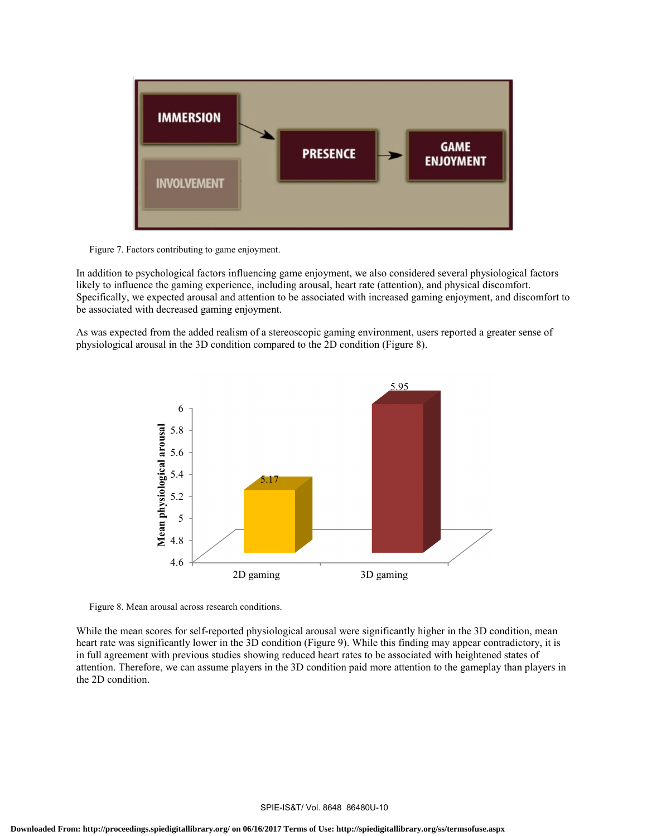

Figure 7. Factors contributing to game enjoyment.

In addition to psychological factors influencing game enjoyment, we also considered several physiological factors likely to influence the gaming experience, including arousal, heart rate (attention), and physical discomfort. Specifically, we expected arousal and attention to be associated with increased gaming enjoyment, and discomfort to be associated with decreased gaming enjoyment.

As was expected from the added realism of a stereoscopic gaming environment, users reported a greater sense of physiological arousal in the 3D condition compared to the 2D condition (Figure 8).



Figure 8. Mean arousal across research conditions.

While the mean scores for self-reported physiological arousal were significantly higher in the 3D condition, mean heart rate was significantly lower in the 3D condition (Figure 9). While this finding may appear contradictory, it is in full agreement with previous studies showing reduced heart rates to be associated with heightened states of attention. Therefore, we can assume players in the 3D condition paid more attention to the gameplay than players in the 2D condition.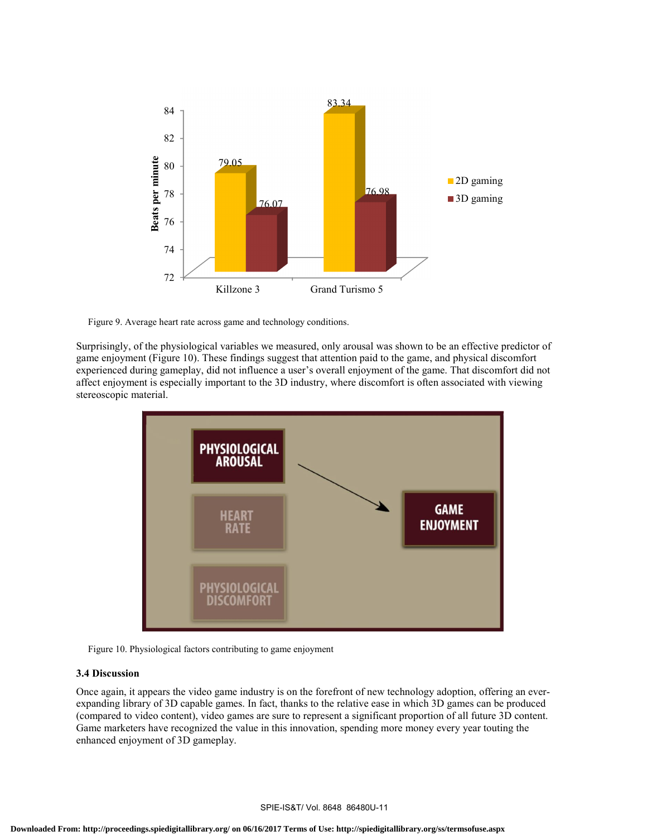

Figure 9. Average heart rate across game and technology conditions.

Surprisingly, of the physiological variables we measured, only arousal was shown to be an effective predictor of game enjoyment (Figure 10). These findings suggest that attention paid to the game, and physical discomfort experienced during gameplay, did not influence a user's overall enjoyment of the game. That discomfort did not affect enjoyment is especially important to the 3D industry, where discomfort is often associated with viewing stereoscopic material.



Figure 10. Physiological factors contributing to game enjoyment

#### **3.4 Discussion**

Once again, it appears the video game industry is on the forefront of new technology adoption, offering an everexpanding library of 3D capable games. In fact, thanks to the relative ease in which 3D games can be produced (compared to video content), video games are sure to represent a significant proportion of all future 3D content. Game marketers have recognized the value in this innovation, spending more money every year touting the enhanced enjoyment of 3D gameplay.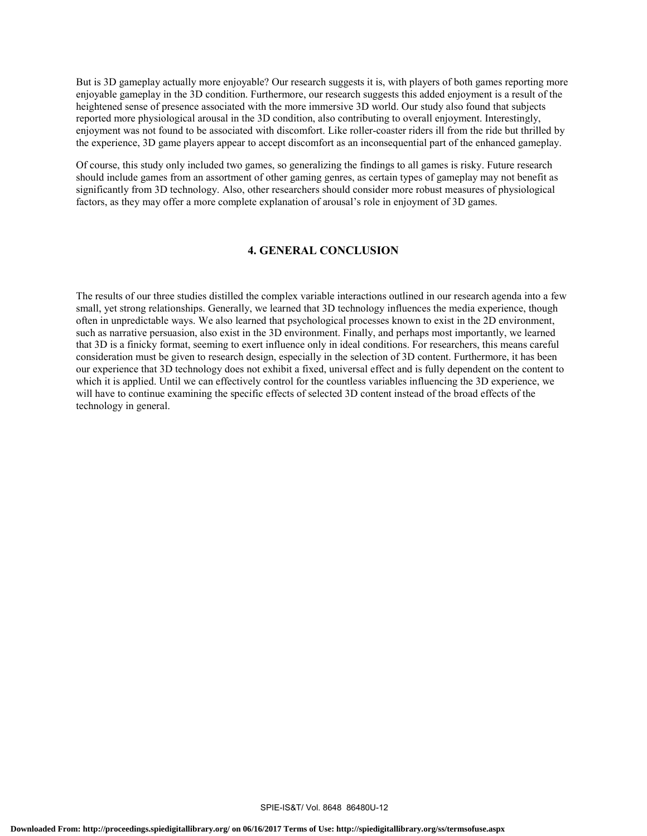But is 3D gameplay actually more enjoyable? Our research suggests it is, with players of both games reporting more enjoyable gameplay in the 3D condition. Furthermore, our research suggests this added enjoyment is a result of the heightened sense of presence associated with the more immersive 3D world. Our study also found that subjects reported more physiological arousal in the 3D condition, also contributing to overall enjoyment. Interestingly, enjoyment was not found to be associated with discomfort. Like roller-coaster riders ill from the ride but thrilled by the experience, 3D game players appear to accept discomfort as an inconsequential part of the enhanced gameplay.

Of course, this study only included two games, so generalizing the findings to all games is risky. Future research should include games from an assortment of other gaming genres, as certain types of gameplay may not benefit as significantly from 3D technology. Also, other researchers should consider more robust measures of physiological factors, as they may offer a more complete explanation of arousal's role in enjoyment of 3D games.

#### **4. GENERAL CONCLUSION**

The results of our three studies distilled the complex variable interactions outlined in our research agenda into a few small, yet strong relationships. Generally, we learned that 3D technology influences the media experience, though often in unpredictable ways. We also learned that psychological processes known to exist in the 2D environment, such as narrative persuasion, also exist in the 3D environment. Finally, and perhaps most importantly, we learned that 3D is a finicky format, seeming to exert influence only in ideal conditions. For researchers, this means careful consideration must be given to research design, especially in the selection of 3D content. Furthermore, it has been our experience that 3D technology does not exhibit a fixed, universal effect and is fully dependent on the content to which it is applied. Until we can effectively control for the countless variables influencing the 3D experience, we will have to continue examining the specific effects of selected 3D content instead of the broad effects of the technology in general.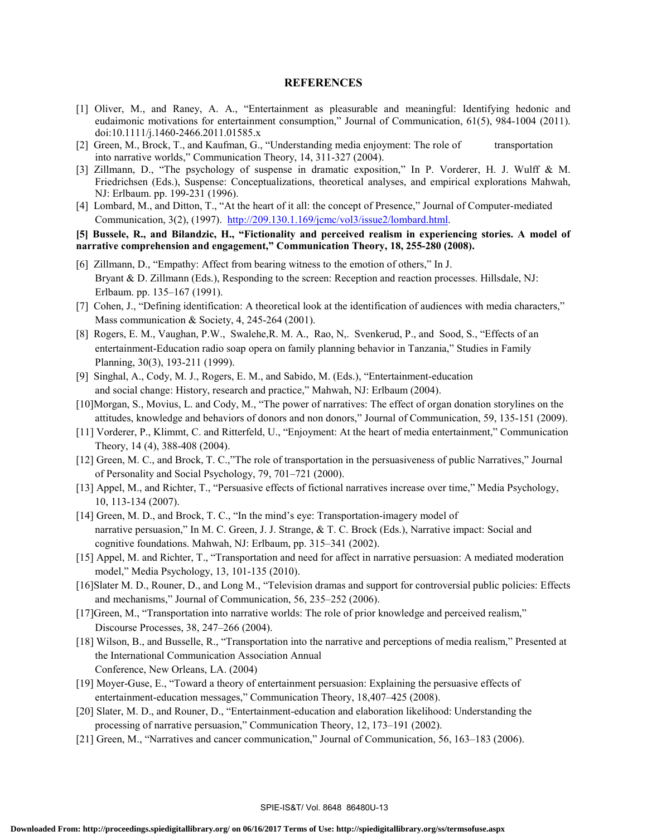#### **REFERENCES**

- [1] Oliver, M., and Raney, A. A., "Entertainment as pleasurable and meaningful: Identifying hedonic and eudaimonic motivations for entertainment consumption," Journal of Communication, 61(5), 984-1004 (2011). doi:10.1111/j.1460-2466.2011.01585.x
- [2] Green, M., Brock, T., and Kaufman, G., "Understanding media enjoyment: The role of transportation into narrative worlds," Communication Theory, 14, 311-327 (2004).
- [3] Zillmann, D., "The psychology of suspense in dramatic exposition," In P. Vorderer, H. J. Wulff & M. Friedrichsen (Eds.), Suspense: Conceptualizations, theoretical analyses, and empirical explorations Mahwah, NJ: Erlbaum. pp. 199-231 (1996).
- [4] Lombard, M., and Ditton, T., "At the heart of it all: the concept of Presence," Journal of Computer-mediated Communication, 3(2), (1997). http://209.130.1.169/jcmc/vol3/issue2/lombard.html.

#### **[5] Bussele, R., and Bilandzic, H., "Fictionality and perceived realism in experiencing stories. A model of narrative comprehension and engagement," Communication Theory, 18, 255-280 (2008).**

- [6] Zillmann, D., "Empathy: Affect from bearing witness to the emotion of others," In J. Bryant & D. Zillmann (Eds.), Responding to the screen: Reception and reaction processes. Hillsdale, NJ: Erlbaum. pp. 135–167 (1991).
- [7] Cohen, J., "Defining identification: A theoretical look at the identification of audiences with media characters," Mass communication & Society, 4, 245-264 (2001).
- [8] Rogers, E. M., Vaughan, P.W., Swalehe,R. M. A., Rao, N,. Svenkerud, P., and Sood, S., "Effects of an entertainment-Education radio soap opera on family planning behavior in Tanzania," Studies in Family Planning, 30(3), 193-211 (1999).
- [9] Singhal, A., Cody, M. J., Rogers, E. M., and Sabido, M. (Eds.), "Entertainment-education and social change: History, research and practice," Mahwah, NJ: Erlbaum (2004).
- [10]Morgan, S., Movius, L. and Cody, M., "The power of narratives: The effect of organ donation storylines on the attitudes, knowledge and behaviors of donors and non donors," Journal of Communication, 59, 135-151 (2009).
- [11] Vorderer, P., Klimmt, C. and Ritterfeld, U., "Enjoyment: At the heart of media entertainment," Communication Theory, 14 (4), 388-408 (2004).
- [12] Green, M. C., and Brock, T. C.,"The role of transportation in the persuasiveness of public Narratives," Journal of Personality and Social Psychology, 79, 701–721 (2000).
- [13] Appel, M., and Richter, T., "Persuasive effects of fictional narratives increase over time," Media Psychology, 10, 113-134 (2007).
- [14] Green, M. D., and Brock, T. C., "In the mind's eye: Transportation-imagery model of narrative persuasion," In M. C. Green, J. J. Strange, & T. C. Brock (Eds.), Narrative impact: Social and cognitive foundations. Mahwah, NJ: Erlbaum, pp. 315–341 (2002).
- [15] Appel, M. and Richter, T., "Transportation and need for affect in narrative persuasion: A mediated moderation model," Media Psychology, 13, 101-135 (2010).
- [16]Slater M. D., Rouner, D., and Long M., "Television dramas and support for controversial public policies: Effects and mechanisms," Journal of Communication, 56, 235–252 (2006).
- [17]Green, M., "Transportation into narrative worlds: The role of prior knowledge and perceived realism," Discourse Processes, 38, 247–266 (2004).
- [18] Wilson, B., and Busselle, R., "Transportation into the narrative and perceptions of media realism," Presented at the International Communication Association Annual Conference, New Orleans, LA. (2004)
- [19] Moyer-Guse, E., "Toward a theory of entertainment persuasion: Explaining the persuasive effects of entertainment-education messages," Communication Theory, 18,407–425 (2008).
- [20] Slater, M. D., and Rouner, D., "Entertainment-education and elaboration likelihood: Understanding the processing of narrative persuasion," Communication Theory, 12, 173–191 (2002).
- [21] Green, M., "Narratives and cancer communication," Journal of Communication, 56, 163–183 (2006).